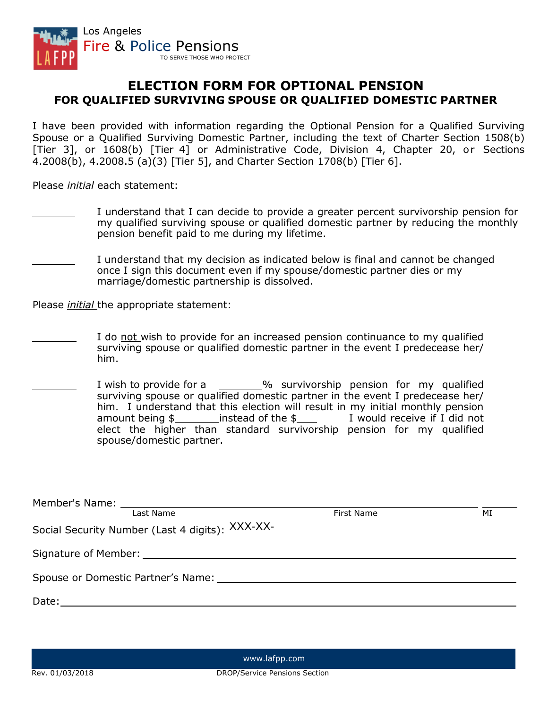

## **ELECTION FORM FOR OPTIONAL PENSION FOR QUALIFIED SURVIVING SPOUSE OR QUALIFIED DOMESTIC PARTNER**

I have been provided with information regarding the Optional Pension for a Qualified Surviving Spouse or a Qualified Surviving Domestic Partner, including the text of Charter Section 1508(b) [Tier 3], or 1608(b) [Tier 4] or Administrative Code, Division 4, Chapter 20, or Sections 4.2008(b), 4.2008.5 (a)(3) [Tier 5], and Charter Section 1708(b) [Tier 6].

Please *initial* each statement:

- I understand that I can decide to provide a greater percent survivorship pension for my qualified surviving spouse or qualified domestic partner by reducing the monthly pension benefit paid to me during my lifetime.
- I understand that my decision as indicated below is final and cannot be changed once I sign this document even if my spouse/domestic partner dies or my marriage/domestic partnership is dissolved.

Please *initial* the appropriate statement:

- I do not wish to provide for an increased pension continuance to my qualified surviving spouse or qualified domestic partner in the event I predecease her/ him.
- I wish to provide for a \_\_\_\_\_% survivorship pension for my qualified surviving spouse or qualified domestic partner in the event I predecease her/ him. I understand that this election will result in my initial monthly pension amount being  $\frac{2}{3}$  instead of the  $\frac{2}{3}$  I would receive if I did not elect the higher than standard survivorship pension for my qualified spouse/domestic partner.

| Last Name                                                                                                                                                                                                                      | First Name | МI |
|--------------------------------------------------------------------------------------------------------------------------------------------------------------------------------------------------------------------------------|------------|----|
| Social Security Number (Last 4 digits): XXX-XX-<br>Management AXX-XX-                                                                                                                                                          |            |    |
|                                                                                                                                                                                                                                |            |    |
| Spouse or Domestic Partner's Name: Name: Name: Name: Name: Name: Name: Name: Name: Name: Name: Name: Name: Name: Name: Name: Name: Name: Name: Name: Name: Name: Name: Name: Name: Name: Name: Name: Name: Name: Name: Name: N |            |    |
| Date:                                                                                                                                                                                                                          |            |    |

[www.lafpp.com](http://www.lafpp.com/)

Rev. 01/03/2018 DROP/Service Pensions Section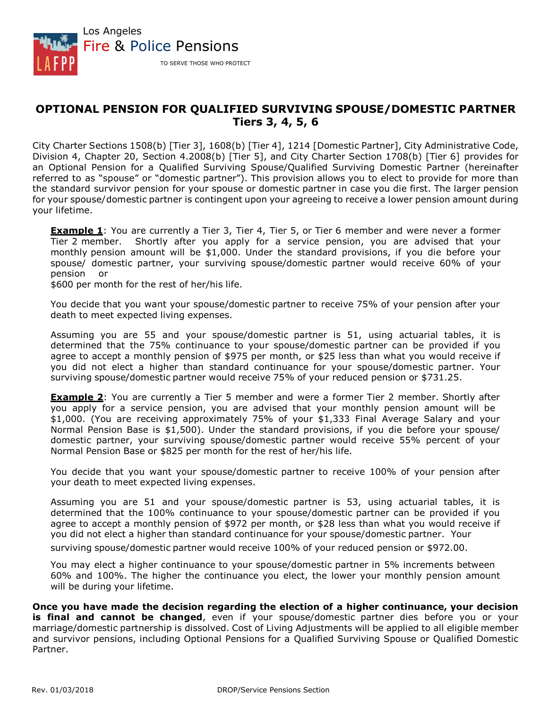

## **OPTIONAL PENSION FOR QUALIFIED SURVIVING SPOUSE/DOMESTIC PARTNER Tiers 3, 4, 5, 6**

City Charter Sections 1508(b) [Tier 3], 1608(b) [Tier 4], 1214 [Domestic Partner], City Administrative Code, Division 4, Chapter 20, Section 4.2008(b) [Tier 5], and City Charter Section 1708(b) [Tier 6] provides for an Optional Pension for a Qualified Surviving Spouse/Qualified Surviving Domestic Partner (hereinafter referred to as "spouse" or "domestic partner"). This provision allows you to elect to provide for more than the standard survivor pension for your spouse or domestic partner in case you die first. The larger pension for your spouse/domestic partner is contingent upon your agreeing to receive a lower pension amount during your lifetime.

**Example 1**: You are currently a Tier 3, Tier 4, Tier 5, or Tier 6 member and were never a former Tier 2 member. Shortly after you apply for a service pension, you are advised that your monthly pension amount will be \$1,000. Under the standard provisions, if you die before your spouse/ domestic partner, your surviving spouse/domestic partner would receive 60% of your pension or

\$600 per month for the rest of her/his life.

You decide that you want your spouse/domestic partner to receive 75% of your pension after your death to meet expected living expenses.

Assuming you are 55 and your spouse/domestic partner is 51, using actuarial tables, it is determined that the 75% continuance to your spouse/domestic partner can be provided if you agree to accept a monthly pension of \$975 per month, or \$25 less than what you would receive if you did not elect a higher than standard continuance for your spouse/domestic partner. Your surviving spouse/domestic partner would receive 75% of your reduced pension or \$731.25.

**Example 2**: You are currently a Tier 5 member and were a former Tier 2 member. Shortly after you apply for a service pension, you are advised that your monthly pension amount will be \$1,000. (You are receiving approximately 75% of your \$1,333 Final Average Salary and your Normal Pension Base is \$1,500). Under the standard provisions, if you die before your spouse/ domestic partner, your surviving spouse/domestic partner would receive 55% percent of your Normal Pension Base or \$825 per month for the rest of her/his life.

You decide that you want your spouse/domestic partner to receive 100% of your pension after your death to meet expected living expenses.

Assuming you are 51 and your spouse/domestic partner is 53, using actuarial tables, it is determined that the 100% continuance to your spouse/domestic partner can be provided if you agree to accept a monthly pension of \$972 per month, or \$28 less than what you would receive if you did not elect a higher than standard continuance for your spouse/domestic partner. Your surviving spouse/domestic partner would receive 100% of your reduced pension or \$972.00.

You may elect a higher continuance to your spouse/domestic partner in 5% increments between 60% and 100%. The higher the continuance you elect, the lower your monthly pension amount will be during your lifetime.

**Once you have made the decision regarding the election of a higher continuance, your decision is final and cannot be changed**, even if your spouse/domestic partner dies before you or your marriage/domestic partnership is dissolved. Cost of Living Adjustments will be applied to all eligible member and survivor pensions, including Optional Pensions for a Qualified Surviving Spouse or Qualified Domestic Partner.